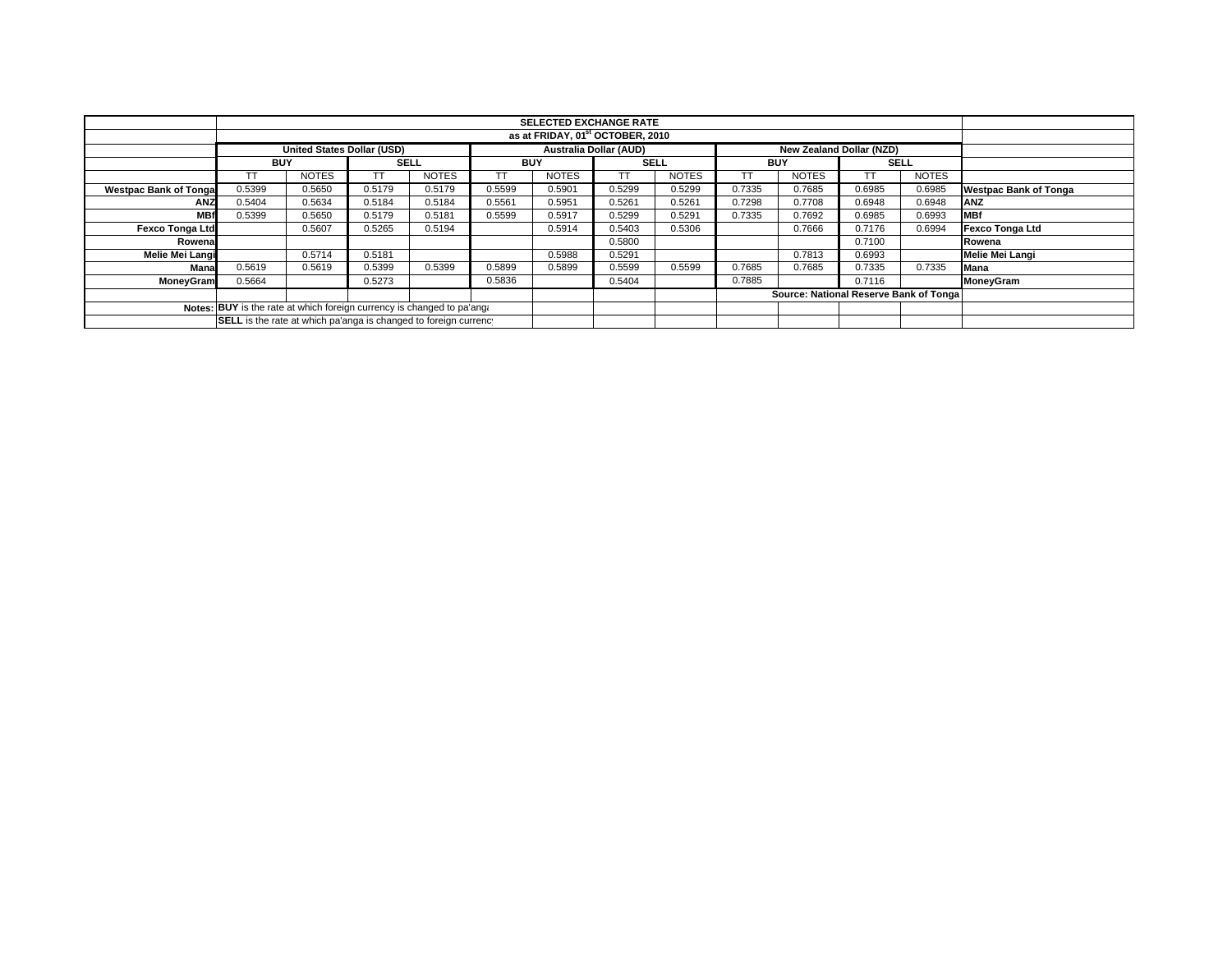|                               |                                                                        |                                   |             |              |                               | <b>SELECTED EXCHANGE RATE</b> |             |              |            |                                        |             |              |                              |
|-------------------------------|------------------------------------------------------------------------|-----------------------------------|-------------|--------------|-------------------------------|-------------------------------|-------------|--------------|------------|----------------------------------------|-------------|--------------|------------------------------|
|                               | as at FRIDAY, 01 <sup>st</sup> OCTOBER, 2010                           |                                   |             |              |                               |                               |             |              |            |                                        |             |              |                              |
|                               |                                                                        | <b>United States Dollar (USD)</b> |             |              | <b>Australia Dollar (AUD)</b> |                               |             |              |            | New Zealand Dollar (NZD)               |             |              |                              |
|                               | <b>BUY</b>                                                             |                                   | <b>SELL</b> |              | <b>BUY</b>                    |                               | <b>SELL</b> |              | <b>BUY</b> |                                        | <b>SELL</b> |              |                              |
|                               | TΤ                                                                     | <b>NOTES</b>                      | TT.         | <b>NOTES</b> | TT                            | <b>NOTES</b>                  | TT.         | <b>NOTES</b> |            | <b>NOTES</b>                           |             | <b>NOTES</b> |                              |
| <b>Westpac Bank of Tongal</b> | 0.5399                                                                 | 0.5650                            | 0.5179      | 0.5179       | 0.5599                        | 0.5901                        | 0.5299      | 0.5299       | 0.7335     | 0.7685                                 | 0.6985      | 0.6985       | <b>Westpac Bank of Tonga</b> |
| <b>ANZ</b>                    | 0.5404                                                                 | 0.5634                            | 0.5184      | 0.5184       | 0.5561                        | 0.5951                        | 0.5261      | 0.5261       | 0.7298     | 0.7708                                 | 0.6948      | 0.6948       | <b>ANZ</b>                   |
| <b>MBf</b>                    | 0.5399                                                                 | 0.5650                            | 0.5179      | 0.5181       | 0.5599                        | 0.5917                        | 0.5299      | 0.5291       | 0.7335     | 0.7692                                 | 0.6985      | 0.6993       | <b>MBf</b>                   |
| <b>Fexco Tonga Ltd</b>        |                                                                        | 0.5607                            | 0.5265      | 0.5194       |                               | 0.5914                        | 0.5403      | 0.5306       |            | 0.7666                                 | 0.7176      | 0.6994       | Fexco Tonga Ltd              |
| Rowenal                       |                                                                        |                                   |             |              |                               |                               | 0.5800      |              |            |                                        | 0.7100      |              | Rowena                       |
| Melie Mei Langi               |                                                                        | 0.5714                            | 0.5181      |              |                               | 0.5988                        | 0.5291      |              |            | 0.7813                                 | 0.6993      |              | Melie Mei Langi              |
| Mana                          | 0.5619                                                                 | 0.5619                            | 0.5399      | 0.5399       | 0.5899                        | 0.5899                        | 0.5599      | 0.5599       | 0.7685     | 0.7685                                 | 0.7335      | 0.7335       | <b>Mana</b>                  |
| <b>MoneyGram</b>              | 0.5664                                                                 |                                   | 0.5273      |              | 0.5836                        |                               | 0.5404      |              | 0.7885     |                                        | 0.7116      |              | MoneyGram                    |
|                               |                                                                        |                                   |             |              |                               |                               |             |              |            | Source: National Reserve Bank of Tonga |             |              |                              |
|                               | Notes: BUY is the rate at which foreign currency is changed to pa'ang: |                                   |             |              |                               |                               |             |              |            |                                        |             |              |                              |
|                               | SELL is the rate at which pa'anga is changed to foreign currency       |                                   |             |              |                               |                               |             |              |            |                                        |             |              |                              |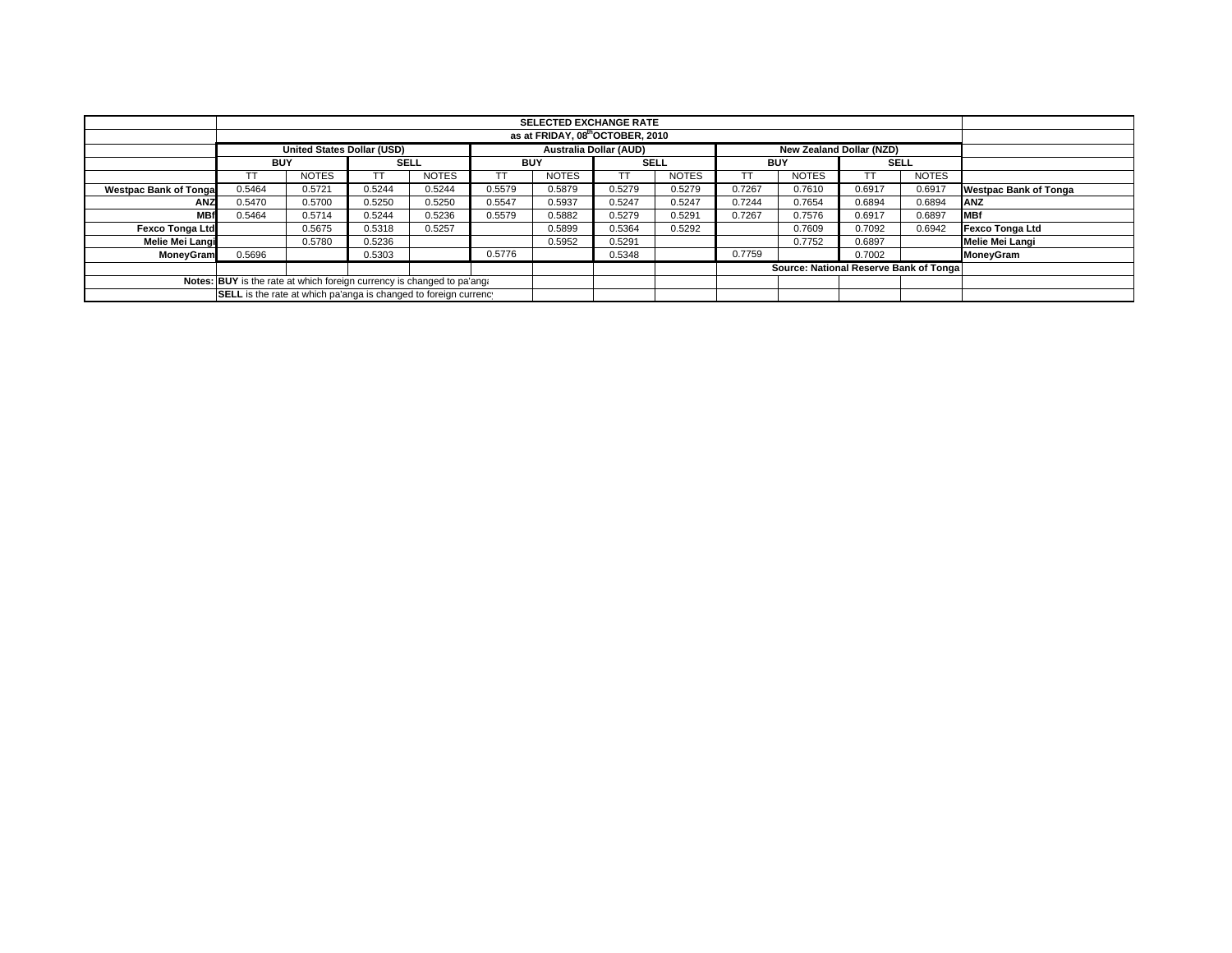|                               |                                                                        |                                   |             |              |                               | <b>SELECTED EXCHANGE RATE</b> |             |              |            |                                        |             |              |                              |
|-------------------------------|------------------------------------------------------------------------|-----------------------------------|-------------|--------------|-------------------------------|-------------------------------|-------------|--------------|------------|----------------------------------------|-------------|--------------|------------------------------|
|                               | as at FRIDAY, 08th OCTOBER, 2010                                       |                                   |             |              |                               |                               |             |              |            |                                        |             |              |                              |
|                               |                                                                        | <b>United States Dollar (USD)</b> |             |              | <b>Australia Dollar (AUD)</b> |                               |             |              |            | New Zealand Dollar (NZD)               |             |              |                              |
|                               | <b>BUY</b>                                                             |                                   | <b>SELL</b> |              | <b>BUY</b>                    |                               | <b>SELL</b> |              | <b>BUY</b> |                                        | <b>SELL</b> |              |                              |
|                               |                                                                        | <b>NOTES</b>                      |             | <b>NOTES</b> |                               | <b>NOTES</b>                  | <b>TT</b>   | <b>NOTES</b> |            | <b>NOTES</b>                           |             | <b>NOTES</b> |                              |
| <b>Westpac Bank of Tongal</b> | 0.5464                                                                 | 0.5721                            | 0.5244      | 0.5244       | 0.5579                        | 0.5879                        | 0.5279      | 0.5279       | 0.7267     | 0.7610                                 | 0.6917      | 0.6917       | <b>Westpac Bank of Tonga</b> |
| <b>ANZ</b>                    | 0.5470                                                                 | 0.5700                            | 0.5250      | 0.5250       | 0.5547                        | 0.5937                        | 0.5247      | 0.5247       | 0.7244     | 0.7654                                 | 0.6894      | 0.6894       | <b>IANZ</b>                  |
| <b>MBf</b>                    | 0.5464                                                                 | 0.5714                            | 0.5244      | 0.5236       | 0.5579                        | 0.5882                        | 0.5279      | 0.5291       | 0.7267     | 0.7576                                 | 0.6917      | 0.6897       | <b>IMBf</b>                  |
| <b>Fexco Tonga Ltd</b>        |                                                                        | 0.5675                            | 0.5318      | 0.5257       |                               | 0.5899                        | 0.5364      | 0.5292       |            | 0.7609                                 | 0.7092      | 0.6942       | <b>Fexco Tonga Ltd</b>       |
| Melie Mei Langi               |                                                                        | 0.5780                            | 0.5236      |              |                               | 0.5952                        | 0.5291      |              |            | 0.7752                                 | 0.6897      |              | <b>Melie Mei Langi</b>       |
| MoneyGram                     | 0.5696                                                                 |                                   | 0.5303      |              | 0.5776                        |                               | 0.5348      |              | 0.7759     |                                        | 0.7002      |              | MoneyGram                    |
|                               |                                                                        |                                   |             |              |                               |                               |             |              |            | Source: National Reserve Bank of Tonga |             |              |                              |
|                               | Notes: BUY is the rate at which foreign currency is changed to pa'ang: |                                   |             |              |                               |                               |             |              |            |                                        |             |              |                              |
|                               | SELL is the rate at which pa'anga is changed to foreign currency       |                                   |             |              |                               |                               |             |              |            |                                        |             |              |                              |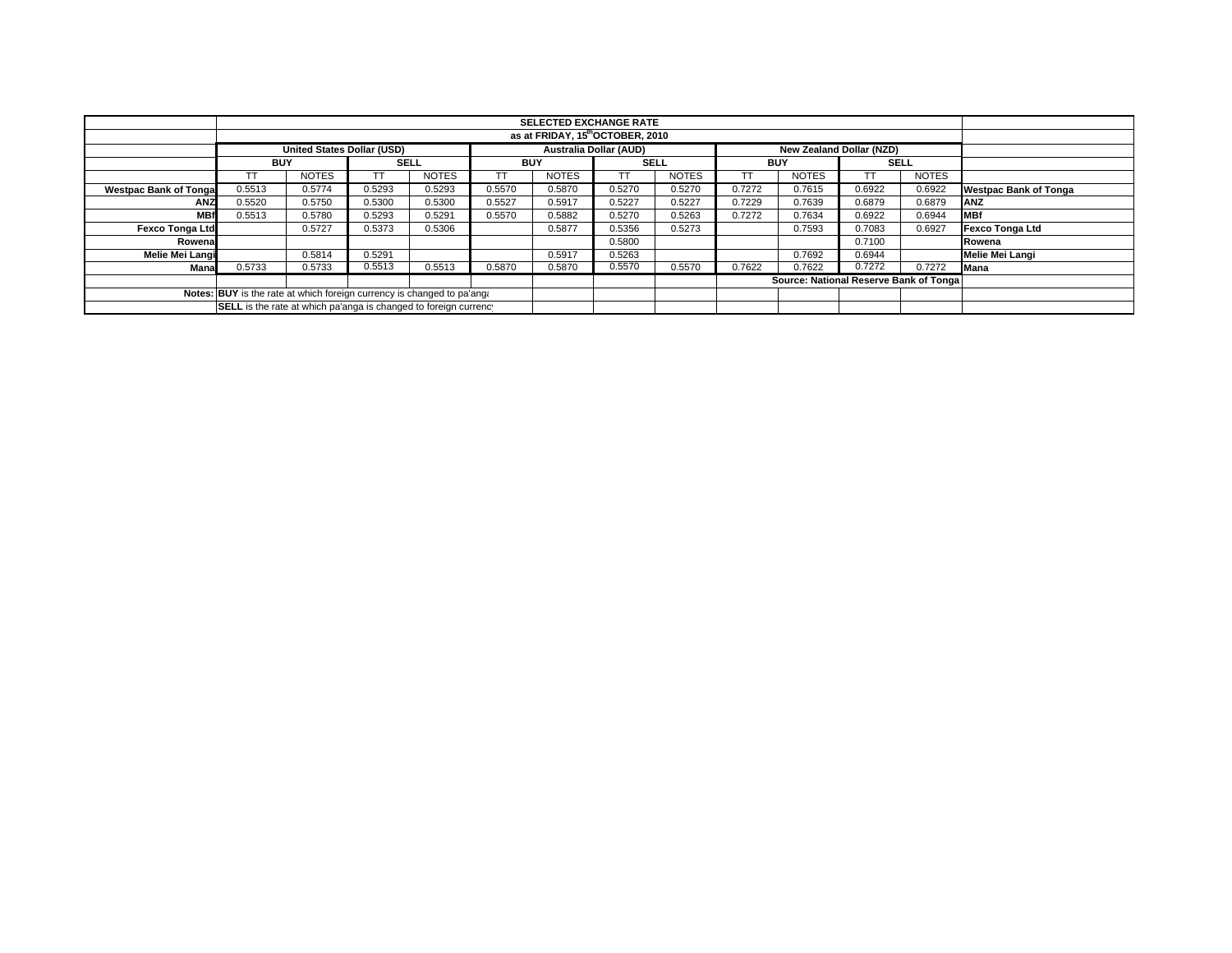|                              |                                                                        |                                   |             |              |                               | <b>SELECTED EXCHANGE RATE</b> |             |              |            |                                 |                                        |              |                              |
|------------------------------|------------------------------------------------------------------------|-----------------------------------|-------------|--------------|-------------------------------|-------------------------------|-------------|--------------|------------|---------------------------------|----------------------------------------|--------------|------------------------------|
|                              | as at FRIDAY, 15th OCTOBER, 2010                                       |                                   |             |              |                               |                               |             |              |            |                                 |                                        |              |                              |
|                              |                                                                        | <b>United States Dollar (USD)</b> |             |              | <b>Australia Dollar (AUD)</b> |                               |             |              |            | <b>New Zealand Dollar (NZD)</b> |                                        |              |                              |
|                              | <b>BUY</b>                                                             |                                   | <b>SELL</b> |              | <b>BUY</b>                    |                               | <b>SELL</b> |              | <b>BUY</b> |                                 | <b>SELL</b>                            |              |                              |
|                              |                                                                        | <b>NOTES</b>                      | TT          | <b>NOTES</b> | TT                            | <b>NOTES</b>                  | ТT          | <b>NOTES</b> |            | <b>NOTES</b>                    |                                        | <b>NOTES</b> |                              |
| <b>Westpac Bank of Tonga</b> | 0.5513                                                                 | 0.5774                            | 0.5293      | 0.5293       | 0.5570                        | 0.5870                        | 0.5270      | 0.5270       | 0.7272     | 0.7615                          | 0.6922                                 | 0.6922       | <b>Westpac Bank of Tonga</b> |
| <b>ANZ</b>                   | 0.5520                                                                 | 0.5750                            | 0.5300      | 0.5300       | 0.5527                        | 0.5917                        | 0.5227      | 0.5227       | 0.7229     | 0.7639                          | 0.6879                                 | 0.6879       | <b>ANZ</b>                   |
| <b>MBf</b>                   | 0.5513                                                                 | 0.5780                            | 0.5293      | 0.5291       | 0.5570                        | 0.5882                        | 0.5270      | 0.5263       | 0.7272     | 0.7634                          | 0.6922                                 | 0.6944       | <b>IMBf</b>                  |
| <b>Fexco Tonga Ltd</b>       |                                                                        | 0.5727                            | 0.5373      | 0.5306       |                               | 0.5877                        | 0.5356      | 0.5273       |            | 0.7593                          | 0.7083                                 | 0.6927       | Fexco Tonga Ltd              |
| Rowena                       |                                                                        |                                   |             |              |                               |                               | 0.5800      |              |            |                                 | 0.7100                                 |              | Rowena                       |
| Melie Mei Langi              |                                                                        | 0.5814                            | 0.5291      |              |                               | 0.5917                        | 0.5263      |              |            | 0.7692                          | 0.6944                                 |              | Melie Mei Langi              |
| Mana                         | 0.5733                                                                 | 0.5733                            | 0.5513      | 0.5513       | 0.5870                        | 0.5870                        | 0.5570      | 0.5570       | 0.7622     | 0.7622                          | 0.7272                                 | 0.7272       | <b>Mana</b>                  |
|                              |                                                                        |                                   |             |              |                               |                               |             |              |            |                                 | Source: National Reserve Bank of Tonga |              |                              |
|                              | Notes: BUY is the rate at which foreign currency is changed to pa'ang: |                                   |             |              |                               |                               |             |              |            |                                 |                                        |              |                              |
|                              | SELL is the rate at which pa'anga is changed to foreign currency       |                                   |             |              |                               |                               |             |              |            |                                 |                                        |              |                              |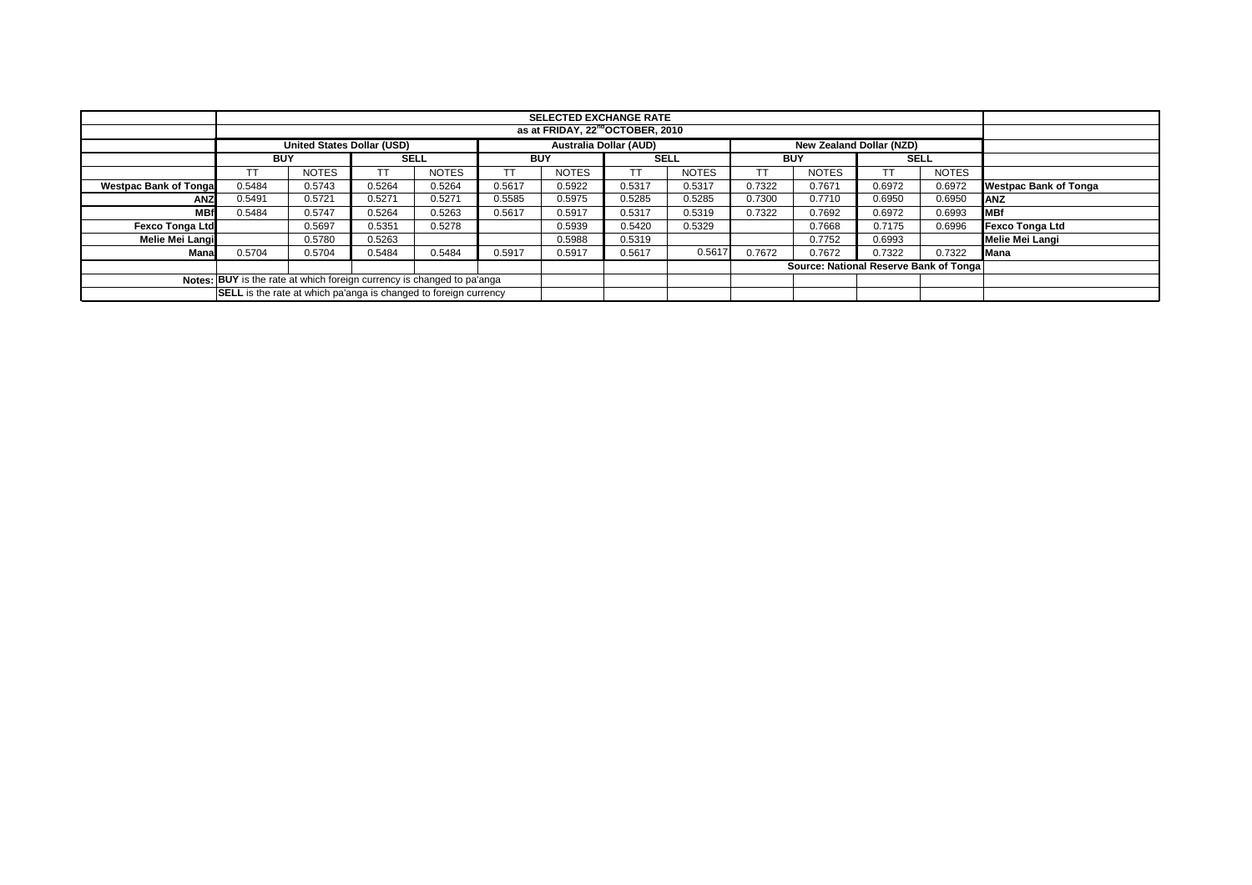|                               |                                                                               |                                   |        |              |        | <b>SELECTED EXCHANGE RATE</b> |             |              |            |                                        |        |              |                              |
|-------------------------------|-------------------------------------------------------------------------------|-----------------------------------|--------|--------------|--------|-------------------------------|-------------|--------------|------------|----------------------------------------|--------|--------------|------------------------------|
|                               | as at FRIDAY, 22 <sup>nd</sup> OCTOBER, 2010                                  |                                   |        |              |        |                               |             |              |            |                                        |        |              |                              |
|                               |                                                                               | <b>United States Dollar (USD)</b> |        |              |        | <b>Australia Dollar (AUD)</b> |             |              |            | New Zealand Dollar (NZD)               |        |              |                              |
|                               | <b>BUY</b>                                                                    |                                   |        | <b>SELL</b>  |        | <b>BUY</b>                    | <b>SELL</b> |              | <b>BUY</b> |                                        |        | <b>SELL</b>  |                              |
|                               |                                                                               | <b>NOTES</b>                      |        | <b>NOTES</b> |        | <b>NOTES</b>                  |             | <b>NOTES</b> | ТT         | <b>NOTES</b>                           | TТ     | <b>NOTES</b> |                              |
| <b>Westpac Bank of Tongal</b> | 0.5484                                                                        | 0.5743                            | 0.5264 | 0.5264       | 0.5617 | 0.5922                        | 0.5317      | 0.5317       | 0.7322     | 0.7671                                 | 0.6972 | 0.6972       | <b>Westpac Bank of Tonga</b> |
| <b>ANZ</b>                    | 0.5491                                                                        | 0.5721                            | 0.5271 | 0.5271       | 0.5585 | 0.5975                        | 0.5285      | 0.5285       | 0.7300     | 0.7710                                 | 0.6950 | 0.6950       | <b>ANZ</b>                   |
| <b>MBf</b>                    | 0.5484                                                                        | 0.5747                            | 0.5264 | 0.5263       | 0.5617 | 0.5917                        | 0.5317      | 0.5319       | 0.7322     | 0.7692                                 | 0.6972 | 0.6993       | <b>MBf</b>                   |
| <b>Fexco Tonga Ltd</b>        |                                                                               | 0.5697                            | 0.5351 | 0.5278       |        | 0.5939                        | 0.5420      | 0.5329       |            | 0.7668                                 | 0.7175 | 0.6996       | <b>Fexco Tonga Ltd</b>       |
| Melie Mei Langi               |                                                                               | 0.5780                            | 0.5263 |              |        | 0.5988                        | 0.5319      |              |            | 0.7752                                 | 0.6993 |              | Melie Mei Langi              |
| Manal                         | 0.5704                                                                        | 0.5704                            | 0.5484 | 0.5484       | 0.5917 | 0.5917                        | 0.5617      | 0.5617       | 0.7672     | 0.7672                                 | 0.7322 | 0.7322       | Mana                         |
|                               |                                                                               |                                   |        |              |        |                               |             |              |            | Source: National Reserve Bank of Tonga |        |              |                              |
|                               | <b>Notes: BUY</b> is the rate at which foreign currency is changed to pa'anga |                                   |        |              |        |                               |             |              |            |                                        |        |              |                              |
|                               | <b>SELL</b> is the rate at which pa'anga is changed to foreign currency       |                                   |        |              |        |                               |             |              |            |                                        |        |              |                              |